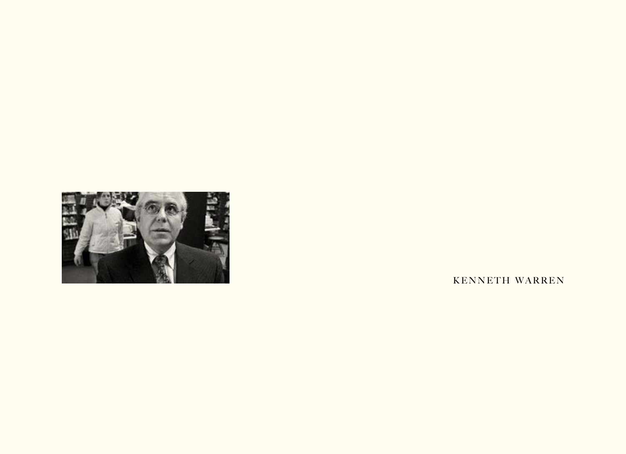

KENNETH WARREN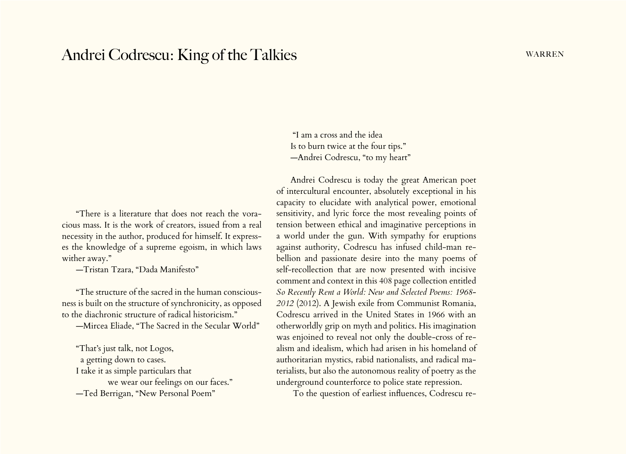## Andrei Codrescu: King of the Talkies warren warren

"There is a literature that does not reach the voracious mass. It is the work of creators, issued from a real necessity in the author, produced for himself. It expresses the knowledge of a supreme egoism, in which laws wither away."

—Tristan Tzara, "Dada Manifesto"

"The structure of the sacred in the human consciousness is built on the structure of synchronicity, as opposed to the diachronic structure of radical historicism."

—Mircea Eliade, "The Sacred in the Secular World"

"That's just talk, not Logos, a getting down to cases. I take it as simple particulars that we wear our feelings on our faces." —Ted Berrigan, "New Personal Poem"

 "I am a cross and the idea Is to burn twice at the four tips." —Andrei Codrescu, "to my heart"

Andrei Codrescu is today the great American poet of intercultural encounter, absolutely exceptional in his capacity to elucidate with analytical power, emotional sensitivity, and lyric force the most revealing points of tension between ethical and imaginative perceptions in a world under the gun. With sympathy for eruptions against authority, Codrescu has infused child-man rebellion and passionate desire into the many poems of self-recollection that are now presented with incisive comment and context in this 408 page collection entitled *So Recently Rent a World: New and Selected Poems: 1968- 2012* (2012). A Jewish exile from Communist Romania, Codrescu arrived in the United States in 1966 with an otherworldly grip on myth and politics. His imagination was enjoined to reveal not only the double-cross of realism and idealism, which had arisen in his homeland of authoritarian mystics, rabid nationalists, and radical materialists, but also the autonomous reality of poetry as the underground counterforce to police state repression.

To the question of earliest influences, Codrescu re-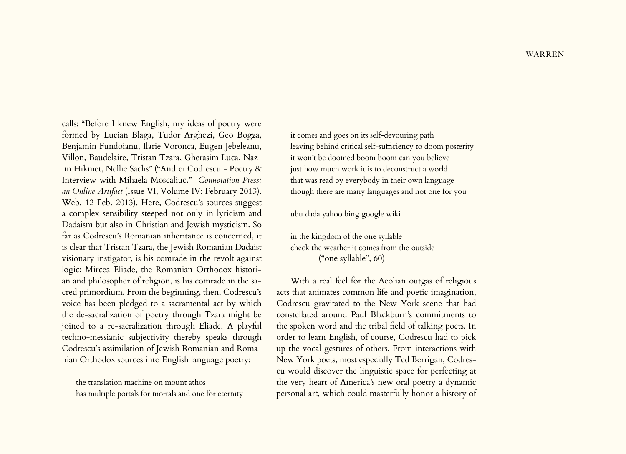calls: "Before I knew English, my ideas of poetry were formed by Lucian Blaga, Tudor Arghezi, Geo Bogza, Benjamin Fundoianu, Ilarie Voronca, Eugen Jebeleanu, Villon, Baudelaire, Tristan Tzara, Gherasim Luca, Nazim Hikmet, Nellie Sachs" ("Andrei Codrescu - Poetry & Interview with Mihaela Moscaliuc." *Connotation Press: an Online Artifact* (Issue VI, Volume IV: February 2013). Web. 12 Feb. 2013). Here, Codrescu's sources suggest a complex sensibility steeped not only in lyricism and Dadaism but also in Christian and Jewish mysticism. So far as Codrescu's Romanian inheritance is concerned, it is clear that Tristan Tzara, the Jewish Romanian Dadaist visionary instigator, is his comrade in the revolt against logic; Mircea Eliade, the Romanian Orthodox historian and philosopher of religion, is his comrade in the sacred primordium. From the beginning, then, Codrescu's voice has been pledged to a sacramental act by which the de-sacralization of poetry through Tzara might be joined to a re-sacralization through Eliade. A playful techno-messianic subjectivity thereby speaks through Codrescu's assimilation of Jewish Romanian and Romanian Orthodox sources into English language poetry:

the translation machine on mount athos has multiple portals for mortals and one for eternity it comes and goes on its self-devouring path leaving behind critical self-sufficiency to doom posterity it won't be doomed boom boom can you believe just how much work it is to deconstruct a world that was read by everybody in their own language though there are many languages and not one for you

ubu dada yahoo bing google wiki

in the kingdom of the one syllable check the weather it comes from the outside ("one syllable", 60)

With a real feel for the Aeolian outgas of religious acts that animates common life and poetic imagination, Codrescu gravitated to the New York scene that had constellated around Paul Blackburn's commitments to the spoken word and the tribal field of talking poets. In order to learn English, of course, Codrescu had to pick up the vocal gestures of others. From interactions with New York poets, most especially Ted Berrigan, Codrescu would discover the linguistic space for perfecting at the very heart of America's new oral poetry a dynamic personal art, which could masterfully honor a history of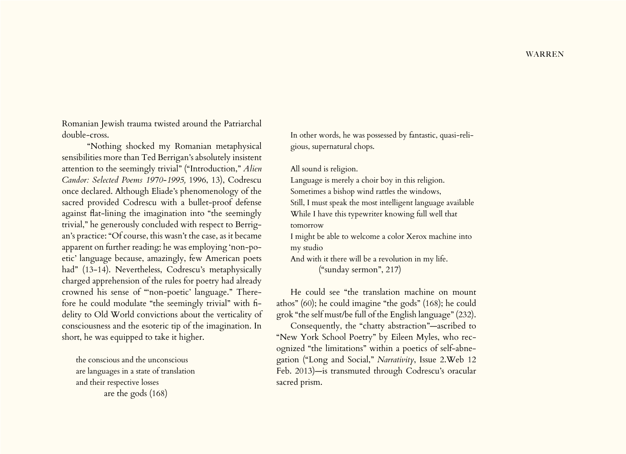Romanian Jewish trauma twisted around the Patriarchal double-cross.

"Nothing shocked my Romanian metaphysical sensibilities more than Ted Berrigan's absolutely insistent attention to the seemingly trivial" ("Introduction," *Alien Candor: Selected Poems 1970-1995,* 1996, 13), Codrescu once declared. Although Eliade's phenomenology of the sacred provided Codrescu with a bullet-proof defense against flat-lining the imagination into "the seemingly trivial," he generously concluded with respect to Berrigan's practice: "Of course, this wasn't the case, as it became apparent on further reading: he was employing 'non-poetic' language because, amazingly, few American poets had" (13-14). Nevertheless, Codrescu's metaphysically charged apprehension of the rules for poetry had already crowned his sense of "'non-poetic' language." Therefore he could modulate "the seemingly trivial" with fidelity to Old World convictions about the verticality of consciousness and the esoteric tip of the imagination. In short, he was equipped to take it higher.

the conscious and the unconscious are languages in a state of translation and their respective losses are the gods (168)

In other words, he was possessed by fantastic, quasi-religious, supernatural chops.

All sound is religion.

Language is merely a choir boy in this religion. Sometimes a bishop wind rattles the windows, Still, I must speak the most intelligent language available While I have this typewriter knowing full well that tomorrow

I might be able to welcome a color Xerox machine into my studio

And with it there will be a revolution in my life. ("sunday sermon", 217)

He could see "the translation machine on mount athos" (60); he could imagine "the gods" (168); he could grok "the self must/be full of the English language" (232).

Consequently, the "chatty abstraction"—ascribed to "New York School Poetry" by Eileen Myles, who recognized "the limitations" within a poetics of self-abnegation ("Long and Social," *Narrativity*, Issue 2.Web 12 Feb. 2013)—is transmuted through Codrescu's oracular sacred prism.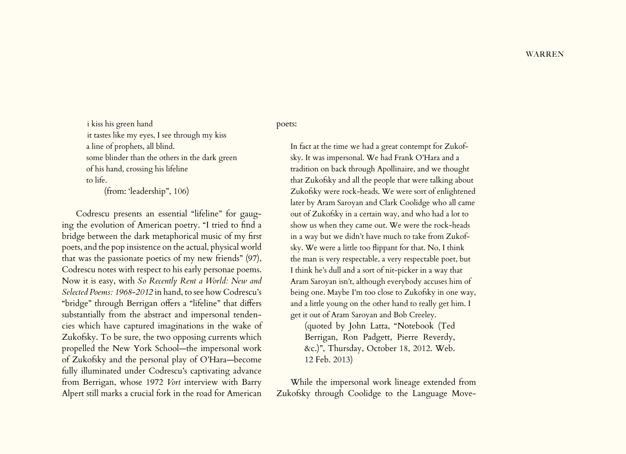i kiss his green hand it tastes like my eyes, I see through my kiss a line of prophets, all blind. some blinder than the others in the dark green of his hand, crossing his lifeline to life. (from: 'leadership", 106)

Codrescu presents an essential "lifeline" for gauging the evolution of American poetry. "I tried to find a bridge between the dark metaphorical music of my first poets, and the pop insistence on the actual, physical world that was the passionate poetics of my new friends" (97), Codrescu notes with respect to his early personae poems. Now it is easy, with *So Recently Rent a World: New and Selected Poems: 1968-2012* in hand, to see how Codrescu's "bridge" through Berrigan offers a "lifeline" that differs substantially from the abstract and impersonal tendencies which have captured imaginations in the wake of Zukofsky. To be sure, the two opposing currents which propelled the New York School—the impersonal work of Zukofsky and the personal play of O'Hara—become fully illuminated under Codrescu's captivating advance from Berrigan, whose 1972 *Vort* interview with Barry Alpert still marks a crucial fork in the road for American

## poets:

In fact at the time we had a great contempt for Zukofsky. It was impersonal. We had Frank O'Hara and a tradition on back through Apollinaire, and we thought that Zukofsky and all the people that were talking about Zukofsky were rock-heads. We were sort of enlightened later by Aram Saroyan and Clark Coolidge who all came out of Zukofsky in a certain way, and who had a lot to show us when they came out. We were the rock-heads in a way but we didn't have much to take from Zukofsky. We were a little too flippant for that. No, I think the man is very respectable, a very respectable poet, but I think he's dull and a sort of nit-picker in a way that Aram Saroyan isn't, although everybody accuses him of being one. Maybe I'm too close to Zukofsky in one way, and a little young on the other hand to really get him. I get it out of Aram Saroyan and Bob Creeley.

(quoted by John Latta, "[Notebook \(Ted](http://isola-di-rifiuti.blogspot.com/2012/10/notebook-ted-berrigan-ron-padgett.html)  [Berrigan, Ron Padgett, Pierre Reverdy,](http://isola-di-rifiuti.blogspot.com/2012/10/notebook-ted-berrigan-ron-padgett.html)  [&c.\)](http://isola-di-rifiuti.blogspot.com/2012/10/notebook-ted-berrigan-ron-padgett.html)", Thursday, October 18, 2012. Web. 12 Feb. 2013)

While the impersonal work lineage extended from Zukofsky through Coolidge to the Language Move-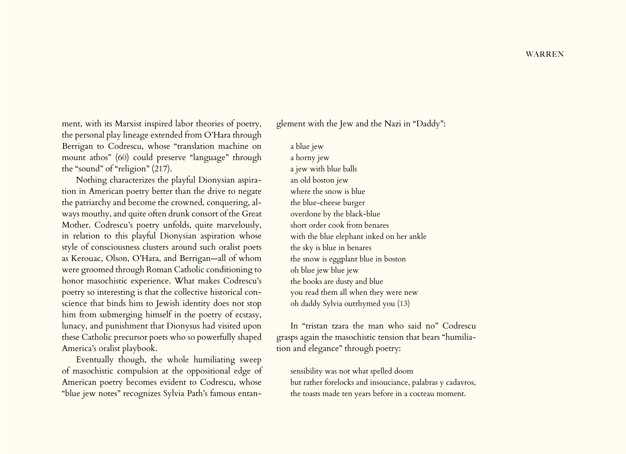ment, with its Marxist inspired labor theories of poetry, the personal play lineage extended from O'Hara through Berrigan to Codrescu, whose "translation machine on mount athos" (60) could preserve "language" through the "sound" of "religion" (217).

Nothing characterizes the playful Dionysian aspiration in American poetry better than the drive to negate the patriarchy and become the crowned, conquering, always mouthy, and quite often drunk consort of the Great Mother. Codrescu's poetry unfolds, quite marvelously, in relation to this playful Dionysian aspiration whose style of consciousness clusters around such oralist poets as Kerouac, Olson, O'Hara, and Berrigan—all of whom were groomed through Roman Catholic conditioning to honor masochistic experience. What makes Codrescu's poetry so interesting is that the collective historical conscience that binds him to Jewish identity does not stop him from submerging himself in the poetry of ecstasy, lunacy, and punishment that Dionysus had visited upon these Catholic precursor poets who so powerfully shaped America's oralist playbook.

Eventually though, the whole humiliating sweep of masochistic compulsion at the oppositional edge of American poetry becomes evident to Codrescu, whose "blue jew notes" recognizes Sylvia Path's famous entanglement with the Jew and the Nazi in "Daddy":

a blue jew a horny jew a jew with blue balls an old boston jew where the snow is blue the blue-cheese burger overdone by the black-blue short order cook from benares with the blue elephant inked on her ankle the sky is blue in benares the snow is eggplant blue in boston oh blue jew blue jew the books are dusty and blue you read them all when they were new oh daddy Sylvia outrhymed you (13)

In "tristan tzara the man who said no" Codrescu grasps again the masochistic tension that bears "humiliation and elegance" through poetry:

sensibility was not what spelled doom but rather forelocks and insouciance, palabras y cadavros, the toasts made ten years before in a cocteau moment.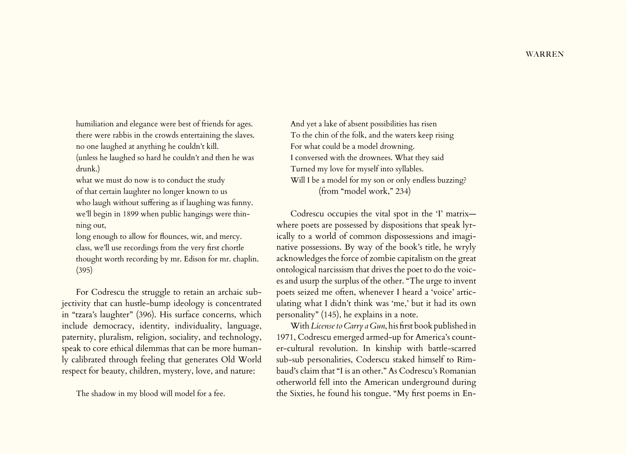humiliation and elegance were best of friends for ages. there were rabbis in the crowds entertaining the slaves. no one laughed at anything he couldn't kill. (unless he laughed so hard he couldn't and then he was drunk.)

what we must do now is to conduct the study of that certain laughter no longer known to us who laugh without suffering as if laughing was funny. we'll begin in 1899 when public hangings were thinning out,

long enough to allow for flounces, wit, and mercy. class, we'll use recordings from the very first chortle thought worth recording by mr. Edison for mr. chaplin. (395)

For Codrescu the struggle to retain an archaic subjectivity that can hustle-bump ideology is concentrated in "tzara's laughter" (396). His surface concerns, which include democracy, identity, individuality, language, paternity, pluralism, religion, sociality, and technology, speak to core ethical dilemmas that can be more humanly calibrated through feeling that generates Old World respect for beauty, children, mystery, love, and nature:

The shadow in my blood will model for a fee.

And yet a lake of absent possibilities has risen To the chin of the folk, and the waters keep rising For what could be a model drowning. I conversed with the drownees. What they said Turned my love for myself into syllables. Will I be a model for my son or only endless buzzing? (from "model work," 234)

Codrescu occupies the vital spot in the 'I' matrix where poets are possessed by dispositions that speak lyrically to a world of common dispossessions and imaginative possessions. By way of the book's title, he wryly acknowledges the force of zombie capitalism on the great ontological narcissism that drives the poet to do the voices and usurp the surplus of the other. "The urge to invent poets seized me often, whenever I heard a 'voice' articulating what I didn't think was 'me,' but it had its own personality" (145), he explains in a note.

With *License to Carry a Gun*, his first book published in 1971, Codrescu emerged armed-up for America's counter-cultural revolution. In kinship with battle-scarred sub-sub personalities, Coderscu staked himself to Rimbaud's claim that "I is an other." As Codrescu's Romanian otherworld fell into the American underground during the Sixties, he found his tongue. "My first poems in En-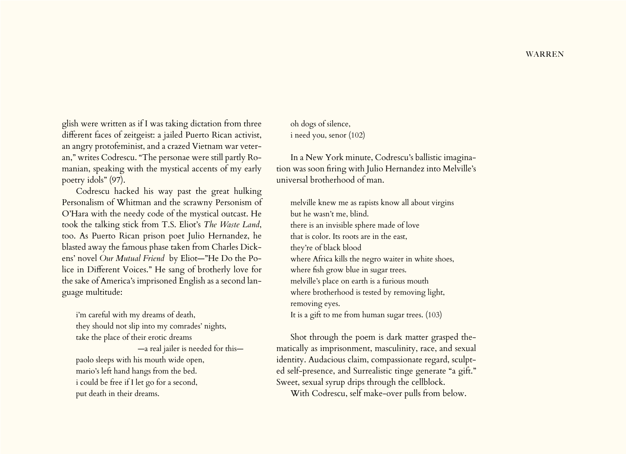glish were written as if I was taking dictation from three different faces of zeitgeist: a jailed Puerto Rican activist, an angry protofeminist, and a crazed Vietnam war veteran," writes Codrescu. "The personae were still partly Romanian, speaking with the mystical accents of my early poetry idols" (97).

Codrescu hacked his way past the great hulking Personalism of Whitman and the scrawny Personism of O'Hara with the needy code of the mystical outcast. He took the talking stick from T.S. Eliot's *The Waste Land*, too. As Puerto Rican prison poet Julio Hernandez, he blasted away the famous phase taken from [Charles Dick](http://en.wikipedia.org/wiki/Charles_Dickens)[ens](http://en.wikipedia.org/wiki/Charles_Dickens)' novel *[Our Mutual Friend](http://en.wikipedia.org/wiki/Our_Mutual_Friend)* by Eliot—"He Do the Police in Different Voices." He sang of brotherly love for the sake of America's imprisoned English as a second language multitude:

i'm careful with my dreams of death, they should not slip into my comrades' nights, take the place of their erotic dreams —a real jailer is needed for this paolo sleeps with his mouth wide open, mario's left hand hangs from the bed. i could be free if I let go for a second, put death in their dreams.

oh dogs of silence, i need you, senor (102)

In a New York minute, Codrescu's ballistic imagination was soon firing with Julio Hernandez into Melville's universal brotherhood of man.

melville knew me as rapists know all about virgins but he wasn't me, blind. there is an invisible sphere made of love that is color. Its roots are in the east, they're of black blood where Africa kills the negro waiter in white shoes, where fish grow blue in sugar trees. melville's place on earth is a furious mouth where brotherhood is tested by removing light, removing eyes. It is a gift to me from human sugar trees. (103)

Shot through the poem is dark matter grasped thematically as imprisonment, masculinity, race, and sexual identity. Audacious claim, compassionate regard, sculpted self-presence, and Surrealistic tinge generate "a gift." Sweet, sexual syrup drips through the cellblock.

With Codrescu, self make-over pulls from below.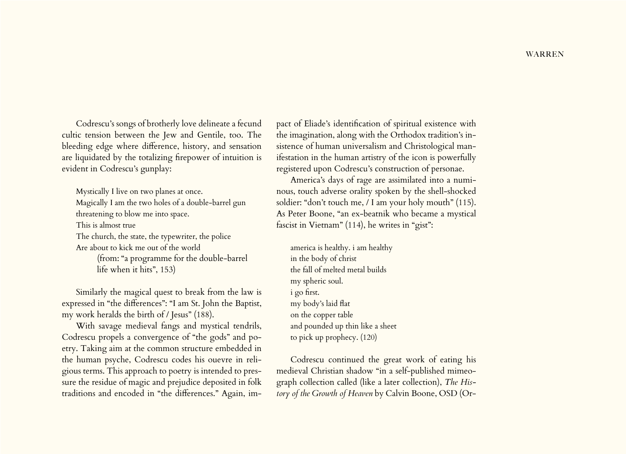Codrescu's songs of brotherly love delineate a fecund cultic tension between the Jew and Gentile, too. The bleeding edge where difference, history, and sensation are liquidated by the totalizing firepower of intuition is evident in Codrescu's gunplay:

Mystically I live on two planes at once. Magically I am the two holes of a double-barrel gun threatening to blow me into space. This is almost true The church, the state, the typewriter, the police Are about to kick me out of the world (from: "a programme for the double-barrel life when it hits", 153)

Similarly the magical quest to break from the law is expressed in "the differences": "I am St. John the Baptist, my work heralds the birth of / Jesus" (188).

With savage medieval fangs and mystical tendrils, Codrescu propels a convergence of "the gods" and poetry. Taking aim at the common structure embedded in the human psyche, Codrescu codes his ouevre in religious terms. This approach to poetry is intended to pressure the residue of magic and prejudice deposited in folk traditions and encoded in "the differences." Again, impact of Eliade's identification of spiritual existence with the imagination, along with the Orthodox tradition's insistence of human universalism and Christological manifestation in the human artistry of the icon is powerfully registered upon Codrescu's construction of personae.

America's days of rage are assimilated into a numinous, touch adverse orality spoken by the shell-shocked soldier: "don't touch me, / I am your holy mouth" (115). As Peter Boone, "an ex-beatnik who became a mystical fascist in Vietnam" (114), he writes in "gist":

america is healthy. i am healthy in the body of christ the fall of melted metal builds my spheric soul. i go first. my body's laid flat on the copper table and pounded up thin like a sheet to pick up prophecy. (120)

Codrescu continued the great work of eating his medieval Christian shadow "in a self-published mimeograph collection called (like a later collection), *The History of the Growth of Heaven* by Calvin Boone, OSD (Or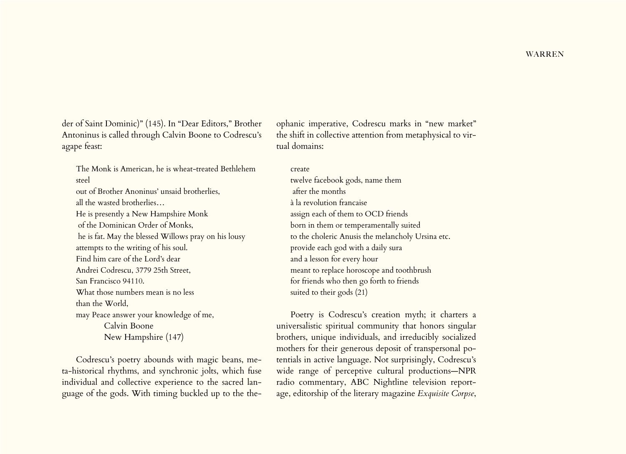der of Saint Dominic)" (145). In "Dear Editors," Brother Antoninus is called through Calvin Boone to Codrescu's agape feast:

The Monk is American, he is wheat-treated Bethlehem steel out of Brother Anoninus' unsaid brotherlies, all the wasted brotherlies… He is presently a New Hampshire Monk of the Dominican Order of Monks, he is fat. May the blessed Willows pray on his lousy attempts to the writing of his soul. Find him care of the Lord's dear Andrei Codrescu, 3779 25th Street, San Francisco 94110. What those numbers mean is no less than the World, may Peace answer your knowledge of me, Calvin Boone New Hampshire (147)

Codrescu's poetry abounds with magic beans, meta-historical rhythms, and synchronic jolts, which fuse individual and collective experience to the sacred language of the gods. With timing buckled up to the theophanic imperative, Codrescu marks in "new market" the shift in collective attention from metaphysical to virtual domains:

## create

twelve facebook gods, name them after the months à la revolution francaise assign each of them to OCD friends born in them or temperamentally suited to the choleric Anusis the melancholy Ursina etc. provide each god with a daily sura and a lesson for every hour meant to replace horoscope and toothbrush for friends who then go forth to friends suited to their gods (21)

Poetry is Codrescu's creation myth; it charters a universalistic spiritual community that honors singular brothers, unique individuals, and irreducibly socialized mothers for their generous deposit of transpersonal potentials in active language. Not surprisingly, Codrescu's wide range of perceptive cultural productions—NPR radio commentary, ABC Nightline television reportage, editorship of the literary magazine *Exquisite Corpse*,